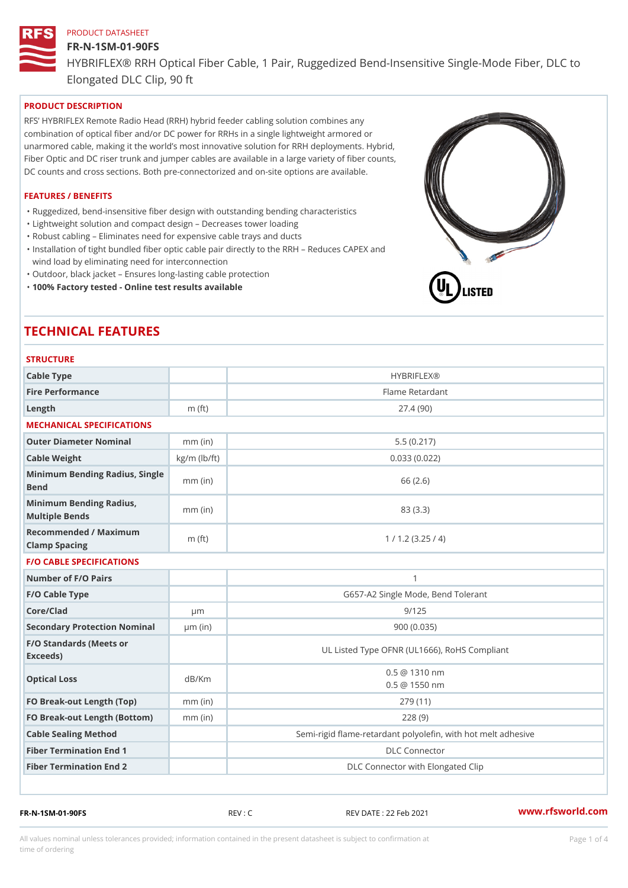## FR-N-1SM-01-90FS

HYBRIFLEX® RRH Optical Fiber Cable, 1 Pair, Ruggedized Bend-Insens Elongated DLC Clip, 90 ft

PRODUCT DESCRIPTION

RFS HYBRIFLEX Remote Radio Head (RRH) hybrid feeder cabling solution combines any combination of optical fiber and/or DC power for RRHs in a single lightweight armored or unarmored cable, making it the world s most innovative solution for RRH deployments. Hybrid, Fiber Optic and DC riser trunk and jumper cables are available in a large variety of fiber counts, DC counts and cross sections. Both pre-connectorized and on-site options are available.

#### FEATURES / BENEFITS

"Ruggedized, bend-insensitive fiber design with outstanding bending characteristics

- "Lightweight solution and compact design Decreases tower loading
- "Robust cabling Eliminates need for expensive cable trays and ducts
- "Installation of tight bundled fiber optic cable pair directly to the RRH Aeduces CAPEX and wind load by eliminating need for interconnection
- "Outdoor, black jacket Ensures long-lasting cable protection
- "100% Factory tested Online test results available

# TECHNICAL FEATURES

# STRUCTURE

| 3 1 N U U I U N L                                 |                    |                                                          |
|---------------------------------------------------|--------------------|----------------------------------------------------------|
| Cable Type                                        |                    | <b>HYBRIFLEX®</b>                                        |
| Fire Performance                                  |                    | Flame Retardant                                          |
| Length                                            | $m$ (ft)           | 27.4(90)                                                 |
| MECHANICAL SPECIFICATIONS                         |                    |                                                          |
| Outer Diameter Nominal                            | $mm$ (in)          | 5.5(0.217)                                               |
| Cable Weight                                      | $kg/m$ ( $lb/ft$ ) | 0.033(0.022)                                             |
| Minimum Bending Radius, Single<br>Bend            |                    | 66 (2.6)                                                 |
| Minimum Bending Radius, mm (in)<br>Multiple Bends |                    | 83 (3.3)                                                 |
| Recommended / Maximum<br>Clamp Spacing            | m $(ft)$           | 1 / 1.2 (3.25 / 4)                                       |
| <b>F/O CABLE SPECIFICATIONS</b>                   |                    |                                                          |
| Number of F/O Pairs                               |                    | $\mathbf{1}$                                             |
| F/O Cable Type                                    |                    | G657-A2 Single Mode, Bend Tolerant                       |
| Core/Clad                                         | $\mu$ m            | 9/125                                                    |
| Secondary Protection Nomimal(in)                  |                    | 900 (0.035)                                              |
| F/O Standards (Meets or<br>Exceeds)               |                    | UL Listed Type OFNR (UL1666), RoHS Compliant             |
| Optical Loss                                      | dB/Km              | $0.5 \t@ 1310 nm$<br>$0.5 \ @ \ 1550 \ nm$               |
| FO Break-out Length (Top)mm (in)                  |                    | 279 (11)                                                 |
| FO Break-out Length (Bottomm) (in)                |                    | 228(9)                                                   |
| Cable Sealing Method                              |                    | Semi-rigid flame-retardant polyolefin, with hot melt adl |
| Fiber Termination End                             |                    | <b>DLC</b> Connector                                     |
| Fiber Termination End 2                           |                    | DLC Connector with Elongated Clip                        |

FR-N-1SM-01-90FS REV : C REV DATE : 22 Feb 2021 [www.](https://www.rfsworld.com)rfsworld.com

All values nominal unless tolerances provided; information contained in the present datasheet is subject to Pcapgeligimation time of ordering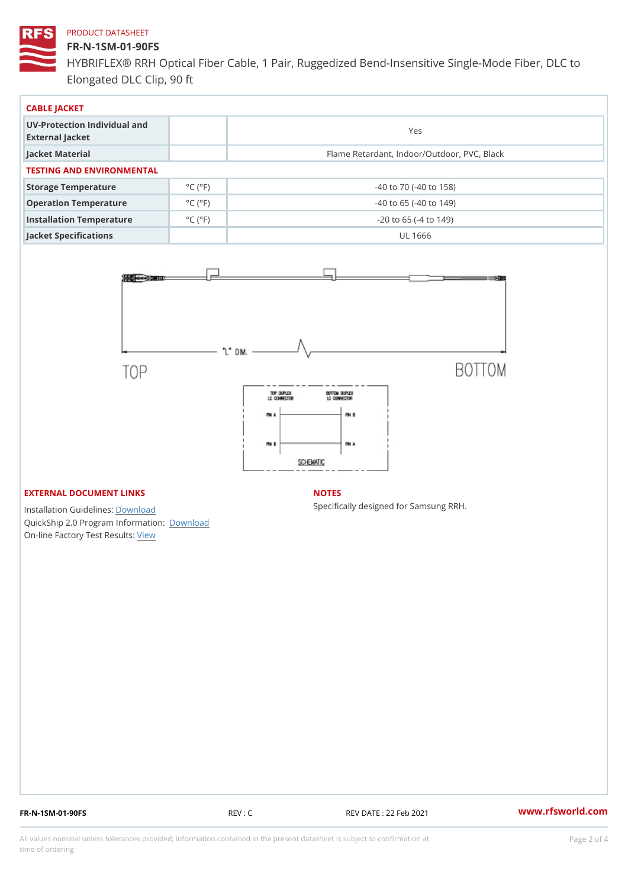#### FR-N-1SM-01-90FS

HYBRIFLEX® RRH Optical Fiber Cable, 1 Pair, Ruggedized Bend-Insens Elongated DLC Clip, 90 ft

| CABLE JACKET                                    |                             |                                             |  |  |  |
|-------------------------------------------------|-----------------------------|---------------------------------------------|--|--|--|
| UV-Protection Individual and<br>External Jacket |                             | Yes                                         |  |  |  |
| Jacket Material                                 |                             | Flame Retardant, Indoor/Outdoor, PVC, Black |  |  |  |
| TESTING AND ENVIRONMENTAL                       |                             |                                             |  |  |  |
| Storage Temperature                             | $^{\circ}$ C ( $^{\circ}$ F | $-40$ to $70$ ( $-40$ to $158$ )            |  |  |  |
| Operation Temperature                           | $^{\circ}$ C ( $^{\circ}$ F | $-40$ to 65 ( $-40$ to 149)                 |  |  |  |
| Installation Temperature                        | $^{\circ}$ C ( $^{\circ}$ F | $-20$ to 65 ( $-4$ to 149)                  |  |  |  |
| Jacket Specifications                           |                             | UL 1666                                     |  |  |  |

# EXTERNAL DOCUMENT LINKS

Installation Guidelwinessad QuickShip 2.0 Program [Informa](http://www.rfsworld.com/images/hybriflex/quickship_program_2.pdf)tion: On-line Factory Te[s](https://www.rfsworld.com/pictures/userfiles/programs/AAST Latest Version.zip)teResults:

#### NOTES

Specifically designed for Samsung RRH.

FR-N-1SM-01-90FS REV : C REV DATE : 22 Feb 2021 [www.](https://www.rfsworld.com)rfsworld.com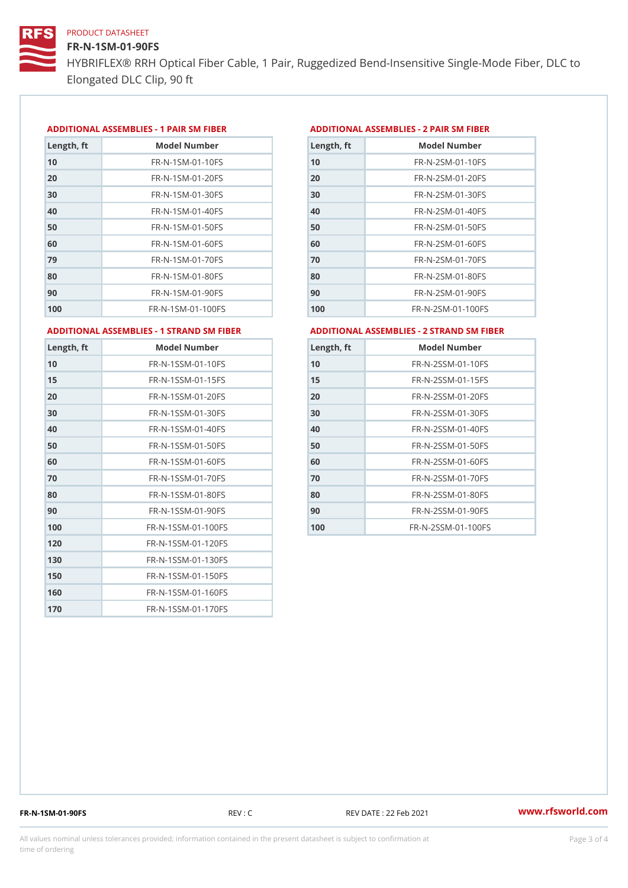FR-N-1SM-01-90FS HYBRIFLEX® RRH Optical Fiber Cable, 1 Pair, Ruggedized Bend-Insens Elongated DLC Clip, 90 ft

#### ADDITIONAL ASSEMBLIES - 1 PAIR SM FIBERED DITIONAL ASSEMBLIES - 2 PAIR SM FIBER

| Length, ft | Model Number                   |
|------------|--------------------------------|
| 10         | $FR - N - 1$ S M - 01 - 10 F S |
| 20         | $FR - N - 1$ S M - 01 - 20 F S |
| 30         | FR-N-1SM-01-30FS               |
| 40         | $FR - N - 1$ S M - 01 - 40 F S |
| 50         | FR-N-1SM-01-50FS               |
| 60         | $FR - N - 1$ S M - 01 - 60 F S |
| 79         | FR-N-1SM-01-70FS               |
| 80         | FR-N-1SM-01-80FS               |
| 90         | FR-N-1SM-01-90FS               |
| 100        | FR-N-1SM-01-100FS              |

| Length, ft | Model Number                   |
|------------|--------------------------------|
| 10         | FR-N-2SM-01-10FS               |
| 20         | FR-N-2SM-01-20FS               |
| 30         | FR-N-2SM-01-30FS               |
| 40         | FR-N-2SM-01-40FS               |
| 50         | FR-N-2SM-01-50FS               |
| 60         | $FR - N - 2 S M - 01 - 60 F S$ |
| 70         | FR-N-2SM-01-70FS               |
| 80         | FR-N-2SM-01-80FS               |
| 90         | FR-N-2SM-01-90FS               |
| 100        | $FR - N - 2SM - 01 - 100FS$    |
|            |                                |

ADDITIONAL ASSEMBLIES - 1 STRAND SM FABSDRTIONAL ASSEMBLIES - 2 STRAND SM FIBER

| Length, ft | Model Number                     |
|------------|----------------------------------|
| 10         | FR-N-1SSM-01-10FS                |
| 15         | FR-N-1SSM-01-15FS                |
| 20         | FR-N-1SSM-01-20FS                |
| 30         | FR-N-1SSM-01-30FS                |
| 40         | FR-N-1SSM-01-40FS                |
| 50         | $FR - N - 1$ S S M - 01 - 50 F S |
| 60         | FR-N-1SSM-01-60FS                |
| 70         | FR-N-1SSM-01-70FS                |
| 80         | FR-N-1SSM-01-80FS                |
| 90         | $FR - N - 1$ S S M - 01 - 90 F S |
| 100        | FR-N-1SSM-01-100FS               |
| 120        | FR-N-1SSM-01-120FS               |
| 130        | FR-N-1SSM-01-130FS               |
| 150        | FR-N-1SSM-01-150FS               |
| 160        | FR-N-1SSM-01-160FS               |
| 170        | FR-N-1SSM-01-170FS               |

| Length, ft | Model Number                     |
|------------|----------------------------------|
| 10         | $FR - N - 2$ S S M - 01 - 10 F S |
| 15         | FR-N-2SSM-01-15FS                |
| 20         | $FR - N - 2$ S S M - 01 - 20 F S |
| 30         | $FR - N - 2$ S S M - 01 - 30 F S |
| 40         | $FR - N - 2$ S S M - 01 - 40 F S |
| 50         | FR-N-2SSM-01-50FS                |
| 60         | $FR - N - 2$ S S M - 01 - 60 F S |
| 70         | $FR - N - 2$ S S M - 01 - 70 F S |
| 80         | FR-N-2SSM-01-80FS                |
| 90         | $FR - N - 2$ S S M - 01 - 90 F S |
| 100        | FR-N-2SSM-01-100FS               |

FR-N-1SM-01-90FS REV : C REV DATE : 22 Feb 2021 [www.](https://www.rfsworld.com)rfsworld.com

All values nominal unless tolerances provided; information contained in the present datasheet is subject to Pcapgeling that i time of ordering